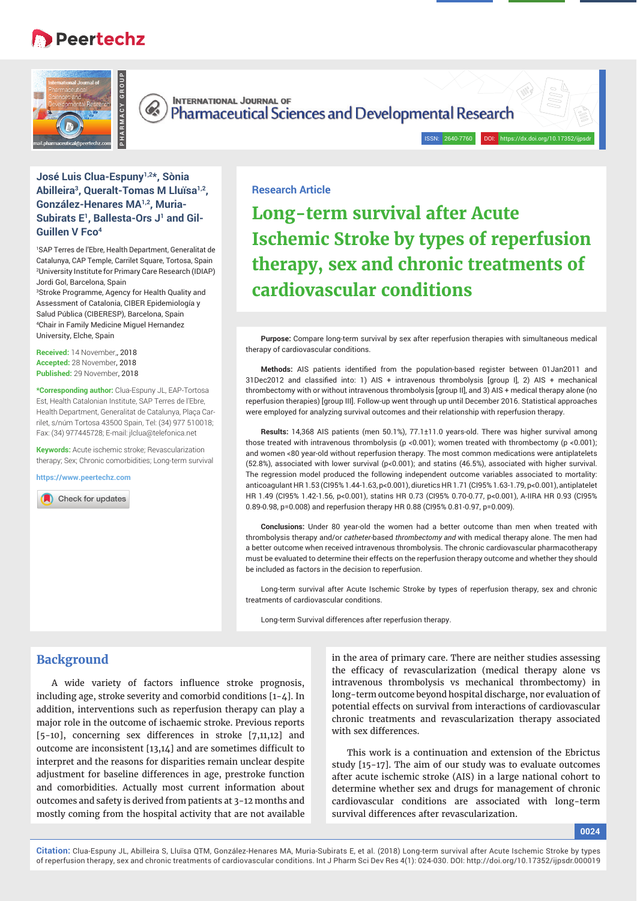# **Peertechz**





**INTERNATIONAL JOURNAL OF** Pharmaceutical Sciences and Developmental Research

## **José Luis Clua-Espuny1,2\*, Sònia Abilleira3, Queralt-Tomas M Lluïsa1,2, González-Henares MA1,2, Muria-**Subirats E<sup>1</sup>, Ballesta-Ors J<sup>1</sup> and Gil-**Guillen V Fco4**

1 SAP Terres de l'Ebre, Health Department, Generalitat de Catalunya, CAP Temple, Carrilet Square, Tortosa, Spain 2 University Institute for Primary Care Research (IDIAP) Jordi Gol, Barcelona, Spain

3 Stroke Programme, Agency for Health Quality and Assessment of Catalonia, CIBER Epidemiología y Salud Pública (CIBERESP), Barcelona, Spain 4 Chair in Family Medicine Miguel Hernandez University, Elche, Spain

**Received:** 14 November,, 2018 **Accepted:** 28 November, 2018 **Published:** 29 November, 2018

**\*Corresponding author:** Clua-Espuny JL, EAP-Tortosa Est, Health Catalonian Institute, SAP Terres de l'Ebre, Health Department, Generalitat de Catalunya, Plaça Carrilet, s/núm Tortosa 43500 Spain, Tel: (34) 977 510018; Fax: (34) 977445728; E-mail: jlclua@telefonica.net

**Keywords:** Acute ischemic stroke; Revascularization therapy; Sex; Chronic comorbidities; Long-term survival

**https://www.peertechz.com**

Check for updates

## **Research Article**

**Long-term survival after Acute Ischemic Stroke by types of reperfusion therapy, sex and chronic treatments of cardiovascular conditions**

ISSN: 2640-7760 DOI: https://dx.doi.org/10.17352/ijpsd

**Purpose:** Compare long-term survival by sex after reperfusion therapies with simultaneous medical therapy of cardiovascular conditions.

Methods: AIS patients identified from the population-based register between 01Jan2011 and 31Dec2012 and classified into: 1) AIS + intravenous thrombolysis [group I], 2) AIS + mechanical thrombectomy with or without intravenous thrombolysis [group II], and 3) AIS + medical therapy alone (no reperfusion therapies) [group III]. Follow-up went through up until December 2016. Statistical approaches were employed for analyzing survival outcomes and their relationship with reperfusion therapy.

**Results:** 14,368 AIS patients (men 50.1%), 77.1±11.0 years-old. There was higher survival among those treated with intravenous thrombolysis (p <0.001); women treated with thrombectomy (p <0.001); and women <80 year-old without reperfusion therapy. The most common medications were antiplatelets (52.8%), associated with lower survival (p<0.001); and statins (46.5%), associated with higher survival. The regression model produced the following independent outcome variables associated to mortality: anticoagulant HR 1.53 (CI95% 1.44-1.63, p<0.001), diuretics HR 1.71 (CI95% 1.63-1.79, p<0.001), antiplatelet HR 1.49 (CI95% 1.42-1.56, p<0.001), statins HR 0.73 (CI95% 0.70-0.77, p<0.001), A-IIRA HR 0.93 (CI95% 0.89-0.98, p=0.008) and reperfusion therapy HR 0.88 (CI95% 0.81-0.97, p=0.009).

**Conclusions:** Under 80 year-old the women had a better outcome than men when treated with thrombolysis therapy and/or *catheter-*based *thrombectomy and* with medical therapy alone. The men had a better outcome when received intravenous thrombolysis. The chronic cardiovascular pharmacotherapy must be evaluated to determine their effects on the reperfusion therapy outcome and whether they should be included as factors in the decision to reperfusion.

Long-term survival after Acute Ischemic Stroke by types of reperfusion therapy, sex and chronic treatments of cardiovascular conditions.

Long-term Survival differences after reperfusion therapy.

## **Background**

A wide variety of factors influence stroke prognosis, including age, stroke severity and comorbid conditions [1-4]. In addition, interventions such as reperfusion therapy can play a major role in the outcome of ischaemic stroke. Previous reports [5-10], concerning sex differences in stroke [7,11,12] and outcome are inconsistent  $[13,14]$  and are sometimes difficult to interpret and the reasons for disparities remain unclear despite adjustment for baseline differences in age, prestroke function and comorbidities. Actually most current information about outcomes and safety is derived from patients at 3-12 months and mostly coming from the hospital activity that are not available

in the area of primary care. There are neither studies assessing the efficacy of revascularization (medical therapy alone vs intravenous thrombolysis vs mechanical thrombectomy) in long-term outcome beyond hospital discharge, nor evaluation of potential effects on survival from interactions of cardiovascular chronic treatments and revascularization therapy associated with sex differences.

This work is a continuation and extension of the Ebrictus study [15-17]. The aim of our study was to evaluate outcomes after acute ischemic stroke (AIS) in a large national cohort to determine whether sex and drugs for management of chronic cardiovascular conditions are associated with long-term survival differences after revascularization.

**0024**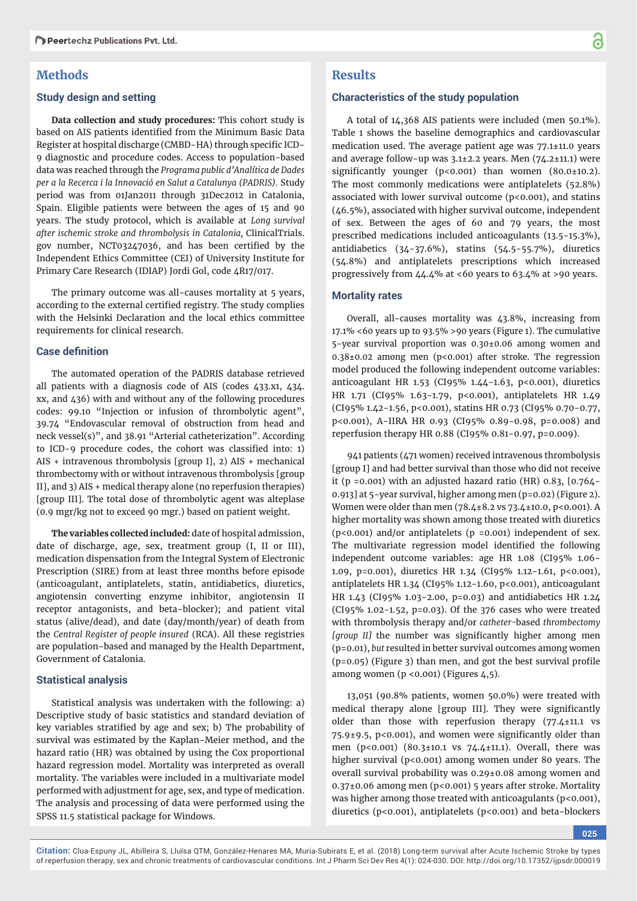## **Methods**

#### **Study design and setting**

**Data collection and study procedures:** This cohort study is based on AIS patients identified from the Minimum Basic Data Register at hospital discharge (CMBD-HA) through specific ICD-9 diagnostic and procedure codes. Access to population-based data was reached through the *Programa public d'Analítica de Dades per a la Recerca i la Innovació en Salut a Catalunya (PADRIS).* Study period was from 01Jan2011 through 31Dec2012 in Catalonia, Spain. Eligible patients were between the ages of 15 and 90 years. The study protocol, which is available at *Long survival after ischemic stroke and thrombolysis in Catalonia,* ClinicalTrials. gov number, NCT03247036, and has been certified by the Independent Ethics Committee (CEI) of University Institute for Primary Care Research (IDIAP) Jordi Gol, code 4R17/017.

The primary outcome was all-causes mortality at 5 years, according to the external certified registry. The study complies with the Helsinki Declaration and the local ethics committee requirements for clinical research.

#### **Case definition**

The automated operation of the PADRIS database retrieved all patients with a diagnosis code of AIS (codes 433.x1, 434. xx, and 436) with and without any of the following procedures codes: 99.10 "Injection or infusion of thrombolytic agent", 39.74 "Endovascular removal of obstruction from head and neck vessel(s)", and 38.91 "Arterial catheterization". According to ICD-9 procedure codes, the cohort was classified into:  $1$ ) AIS + intravenous thrombolysis [group I], 2) AIS + mechanical thrombectomy with or without intravenous thrombolysis [group II], and 3) AIS + medical therapy alone (no reperfusion therapies) [group III]. The total dose of thrombolytic agent was alteplase (0.9 mgr/kg not to exceed 90 mgr.) based on patient weight.

**The variables collected included:** date of hospital admission, date of discharge, age, sex, treatment group (I, II or III), medication dispensation from the Integral System of Electronic Prescription (SIRE) from at least three months before episode (anticoagulant, antiplatelets, statin, antidiabetics, diuretics, angiotensin converting enzyme inhibitor, angiotensin II receptor antagonists, and beta-blocker); and patient vital status (alive/dead), and date (day/month/year) of death from the *Central Register of people insured* (RCA). All these registries are population-based and managed by the Health Department, Government of Catalonia.

#### **Statistical analysis**

Statistical analysis was undertaken with the following: a) Descriptive study of basic statistics and standard deviation of key variables stratified by age and sex; b) The probability of survival was estimated by the Kaplan-Meier method, and the hazard ratio (HR) was obtained by using the Cox proportional hazard regression model. Mortality was interpreted as overall mortality. The variables were included in a multivariate model performed with adjustment for age, sex, and type of medication. The analysis and processing of data were performed using the SPSS 11.5 statistical package for Windows.

## **Results**

#### **Characteristics of the study population**

A total of 14,368 AIS patients were included (men 50.1%). Table 1 shows the baseline demographics and cardiovascular medication used. The average patient age was 77.1±11.0 years and average follow-up was 3.1±2.2 years. Men (74.2±11.1) were significantly younger ( $p$ <0.001) than women (80.0 $\pm$ 10.2). The most commonly medications were antiplatelets (52.8%) associated with lower survival outcome ( $p$ <0.001), and statins (46.5%), associated with higher survival outcome, independent of sex. Between the ages of 60 and 79 years, the most prescribed medications included anticoagulants (13.5-15.3%), antidiabetics (34-37.6%), statins (54.5-55.7%), diuretics (54.8%) and antiplatelets prescriptions which increased progressively from 44.4% at <60 years to 63.4% at >90 years.

#### **Mortality rates**

Overall, all-causes mortality was 43.8%, increasing from 17.1% <60 years up to 93.5% >90 years (Figure 1). The cumulative 5-year survival proportion was 0.30±0.06 among women and 0.38±0.02 among men (p<0.001) after stroke. The regression model produced the following independent outcome variables: anticoagulant HR 1.53 (CI95% 1.44-1.63, p<0.001), diuretics HR 1.71 (CI95% 1.63-1.79, p<0.001), antiplatelets HR 1.49 (CI95% 1.42-1.56, p<0.001), statins HR 0.73 (CI95% 0.70-0.77, p<0.001), A-IIRA HR 0.93 (CI95% 0.89-0.98, p=0.008) and reperfusion therapy HR 0.88 (CI95% 0.81-0.97, p=0.009).

941 patients (471 women) received intravenous thrombolysis [group I] and had better survival than those who did not receive it (p =0.001) with an adjusted hazard ratio (HR)  $0.83$ ,  $[0.764 -$ 0.913] at 5-year survival, higher among men (p=0.02) (Figure 2). Women were older than men (78.4±8.2 vs 73.4±10.0, p<0.001). A higher mortality was shown among those treated with diuretics (p<0.001) and/or antiplatelets (p =0.001) independent of sex. The multivariate regression model identified the following independent outcome variables: age HR 1.08 (CI95% 1.06- 1.09, p=0.001), diuretics HR 1.34 (CI95% 1.12-1.61, p<0.001), antiplatelets HR 1.34 (CI95% 1.12-1.60, p<0.001), anticoagulant HR 1.43 (CI95% 1.03-2.00, p=0.03) and antidiabetics HR 1.24 (CI95% 1.02-1.52, p=0.03). Of the 376 cases who were treated with thrombolysis therapy and/or *catheter-*based *thrombectomy*  [group II] the number was significantly higher among men (p=0.01), *but* resulted in better survival outcomes among women  $(p=0.05)$  (Figure 3) than men, and got the best survival profile among women (p <  $0.001$ ) (Figures 4,5).

13,051 (90.8% patients, women 50.0%) were treated with medical therapy alone [group III]. They were significantly older than those with reperfusion therapy (77.4±11.1 vs  $75.9\pm9.5$ , p<0.001), and women were significantly older than men (p<0.001) (80.3±10.1 vs 74.4±11.1). Overall, there was higher survival (p<0.001) among women under 80 years. The overall survival probability was 0.29±0.08 among women and 0.37±0.06 among men (p<0.001) 5 years after stroke. Mortality was higher among those treated with anticoagulants ( $p$ <0.001), diuretics (p<0.001), antiplatelets (p<0.001) and beta-blockers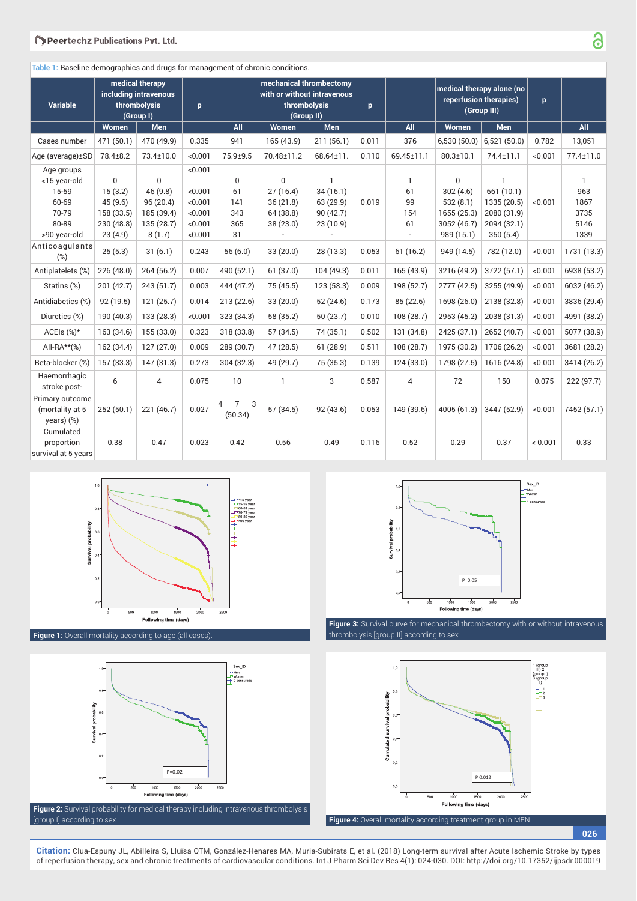**Table 1:** Baseline demographics and drugs for management of chronic conditions.

| <b>Variable</b>                                                                |                                                                       | medical therapy<br>including intravenous<br>thrombolysis<br>(Group I)     |                                                          |                                              | mechanical thrombectomy<br>with or without intravenous<br>thrombolysis<br>(Group II) |                                                                | p     |                                       | medical therapy alone (no<br>reperfusion therapies)<br>(Group III)              |                                                                                     | p.      |                                          |
|--------------------------------------------------------------------------------|-----------------------------------------------------------------------|---------------------------------------------------------------------------|----------------------------------------------------------|----------------------------------------------|--------------------------------------------------------------------------------------|----------------------------------------------------------------|-------|---------------------------------------|---------------------------------------------------------------------------------|-------------------------------------------------------------------------------------|---------|------------------------------------------|
|                                                                                | Women                                                                 | <b>Men</b>                                                                |                                                          | <b>All</b>                                   | Women                                                                                | <b>Men</b>                                                     |       | All                                   | Women                                                                           | <b>Men</b>                                                                          |         | All                                      |
| Cases number                                                                   | 471 (50.1)                                                            | 470 (49.9)                                                                | 0.335                                                    | 941                                          | 165 (43.9)                                                                           | 211(56.1)                                                      | 0.011 | 376                                   |                                                                                 | $6,530(50.0)$ 6,521 (50.0)                                                          | 0.782   | 13,051                                   |
| Age (average) ± SD                                                             | 78.4±8.2                                                              | 73.4±10.0                                                                 | <0.001                                                   | 75.9±9.5                                     | 70.48±11.2                                                                           | 68.64±11.                                                      | 0.110 | 69.45±11.1                            | $80.3 \pm 10.1$                                                                 | 74.4±11.1                                                                           | < 0.001 | 77.4±11.0                                |
| Age groups<br><15 year-old<br>15-59<br>60-69<br>70-79<br>80-89<br>>90 year-old | $\Omega$<br>15(3.2)<br>45(9.6)<br>158 (33.5)<br>230 (48.8)<br>23(4.9) | $\mathbf 0$<br>46 (9.8)<br>96(20.4)<br>185 (39.4)<br>135 (28.7)<br>8(1.7) | <0.001<br><0.001<br><0.001<br><0.001<br><0.001<br><0.001 | $\mathbf 0$<br>61<br>141<br>343<br>365<br>31 | $\Omega$<br>27(16.4)<br>36(21.8)<br>64(38.8)<br>38 (23.0)                            | $\mathbf{1}$<br>34(16.1)<br>63 (29.9)<br>90(42.7)<br>23 (10.9) | 0.019 | $\mathbf{1}$<br>61<br>99<br>154<br>61 | $\mathbf 0$<br>302(4.6)<br>532(8.1)<br>1655 (25.3)<br>3052 (46.7)<br>989 (15.1) | $\mathbf{1}$<br>661 (10.1)<br>1335 (20.5)<br>2080 (31.9)<br>2094 (32.1)<br>350(5.4) | < 0.001 | 1<br>963<br>1867<br>3735<br>5146<br>1339 |
| Anticoagulants<br>$(\%)$                                                       | 25(5.3)                                                               | 31(6.1)                                                                   | 0.243                                                    | 56(6.0)                                      | 33(20.0)                                                                             | 28 (13.3)                                                      | 0.053 | 61(16.2)                              | 949 (14.5)                                                                      | 782 (12.0)                                                                          | < 0.001 | 1731 (13.3)                              |
| Antiplatelets (%)                                                              | 226(48.0)                                                             | 264 (56.2)                                                                | 0.007                                                    | 490 (52.1)                                   | 61(37.0)                                                                             | 104(49.3)                                                      | 0.011 | 165(43.9)                             | 3216 (49.2)                                                                     | 3722 (57.1)                                                                         | < 0.001 | 6938 (53.2)                              |
| Statins (%)                                                                    | 201 (42.7)                                                            | 243(51.7)                                                                 | 0.003                                                    | 444 (47.2)                                   | 75 (45.5)                                                                            | 123(58.3)                                                      | 0.009 | 198 (52.7)                            | 2777 (42.5)                                                                     | 3255 (49.9)                                                                         | <0.001  | 6032 (46.2)                              |
| Antidiabetics (%)                                                              | 92(19.5)                                                              | 121(25.7)                                                                 | 0.014                                                    | 213(22.6)                                    | 33(20.0)                                                                             | 52(24.6)                                                       | 0.173 | 85 (22.6)                             | 1698 (26.0)                                                                     | 2138 (32.8)                                                                         | < 0.001 | 3836 (29.4)                              |
| Diuretics (%)                                                                  | 190 (40.3)                                                            | 133 (28.3)                                                                | <0.001                                                   | 323 (34.3)                                   | 58 (35.2)                                                                            | 50(23.7)                                                       | 0.010 | 108 (28.7)                            | 2953 (45.2)                                                                     | 2038 (31.3)                                                                         | < 0.001 | 4991 (38.2)                              |
| ACEIs (%)*                                                                     | 163 (34.6)                                                            | 155 (33.0)                                                                | 0.323                                                    | 318 (33.8)                                   | 57 (34.5)                                                                            | 74 (35.1)                                                      | 0.502 | 131 (34.8)                            | 2425 (37.1)                                                                     | 2652 (40.7)                                                                         | < 0.001 | 5077 (38.9)                              |
| All-RA $**$ (%)                                                                | 162 (34.4)                                                            | 127(27.0)                                                                 | 0.009                                                    | 289 (30.7)                                   | 47 (28.5)                                                                            | 61(28.9)                                                       | 0.511 | 108 (28.7)                            | 1975 (30.2)                                                                     | 1706 (26.2)                                                                         | < 0.001 | 3681 (28.2)                              |
| Beta-blocker (%)                                                               | 157 (33.3)                                                            | 147(31.3)                                                                 | 0.273                                                    | 304 (32.3)                                   | 49 (29.7)                                                                            | 75 (35.3)                                                      | 0.139 | 124 (33.0)                            | 1798 (27.5)                                                                     | 1616 (24.8)                                                                         | < 0.001 | 3414 (26.2)                              |
| Haemorrhagic<br>stroke post-                                                   | 6                                                                     | 4                                                                         | 0.075                                                    | 10                                           | $\mathbf{1}$                                                                         | 3                                                              | 0.587 | $\overline{4}$                        | 72                                                                              | 150                                                                                 | 0.075   | 222 (97.7)                               |
| Primary outcome<br>(mortality at 5<br>years) (%)                               | 252(50.1)                                                             | 221 (46.7)                                                                | 0.027                                                    | $\overline{7}$<br>3<br>4<br>(50.34)          | 57 (34.5)                                                                            | 92(43.6)                                                       | 0.053 | 149 (39.6)                            | 4005 (61.3)                                                                     | 3447 (52.9)                                                                         | < 0.001 | 7452 (57.1)                              |
| Cumulated<br>proportion<br>survival at 5 years                                 | 0.38                                                                  | 0.47                                                                      | 0.023                                                    | 0.42                                         | 0.56                                                                                 | 0.49                                                           | 0.116 | 0.52                                  | 0.29                                                                            | 0.37                                                                                | < 0.001 | 0.33                                     |



**Figure 1:** Overall mortality according to age (all cases).





thrombolysis [group II] according to sex.

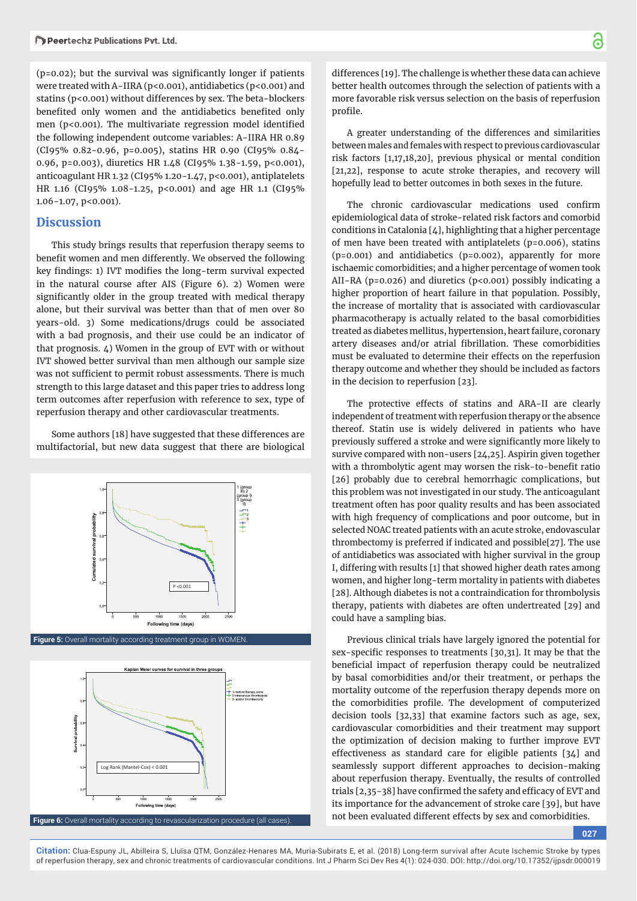$(p=0.02)$ ; but the survival was significantly longer if patients were treated with A-IIRA (p<0.001), antidiabetics (p<0.001) and statins (p<0.001) without differences by sex. The beta-blockers benefited only women and the antidiabetics benefited only men ( $p$ <0.001). The multivariate regression model identified the following independent outcome variables: A-IIRA HR 0.89 (CI95% 0.82-0.96, p=0.005), statins HR 0.90 (CI95% 0.84- 0.96, p=0.003), diuretics HR 1.48 (CI95% 1.38-1.59, p<0.001), anticoagulant HR 1.32 (CI95% 1.20-1.47, p<0.001), antiplatelets HR 1.16 (CI95% 1.08-1.25, p<0.001) and age HR 1.1 (CI95% 1.06-1.07, p<0.001).

## **Discussion**

This study brings results that reperfusion therapy seems to benefit women and men differently. We observed the following key findings: 1) IVT modifies the long-term survival expected in the natural course after AIS (Figure 6). 2) Women were significantly older in the group treated with medical therapy alone, but their survival was better than that of men over 80 years-old. 3) Some medications/drugs could be associated with a bad prognosis, and their use could be an indicator of that prognosis. 4) Women in the group of EVT with or without IVT showed better survival than men although our sample size was not sufficient to permit robust assessments. There is much strength to this large dataset and this paper tries to address long term outcomes after reperfusion with reference to sex, type of reperfusion therapy and other cardiovascular treatments.

Some authors [18] have suggested that these differences are multifactorial, but new data suggest that there are biological



**Figure 5:** Overall mortality according treatment group in WOMEN.



differences [19]. The challenge is whether these data can achieve better health outcomes through the selection of patients with a more favorable risk versus selection on the basis of reperfusion profile.

A greater understanding of the differences and similarities between males and females with respect to previous cardiovascular risk factors [1,17,18,20], previous physical or mental condition [21,22], response to acute stroke therapies, and recovery will hopefully lead to better outcomes in both sexes in the future.

The chronic cardiovascular medications used confirm epidemiological data of stroke-related risk factors and comorbid conditions in Catalonia  $[4]$ , highlighting that a higher percentage of men have been treated with antiplatelets (p=0.006), statins (p=0.001) and antidiabetics (p=0.002), apparently for more ischaemic comorbidities; and a higher percentage of women took AII-RA (p=0.026) and diuretics (p<0.001) possibly indicating a higher proportion of heart failure in that population. Possibly, the increase of mortality that is associated with cardiovascular pharmacotherapy is actually related to the basal comorbidities treated as diabetes mellitus, hypertension, heart failure, coronary artery diseases and/or atrial fibrillation. These comorbidities must be evaluated to determine their effects on the reperfusion therapy outcome and whether they should be included as factors in the decision to reperfusion [23].

The protective effects of statins and ARA-II are clearly independent of treatment with reperfusion therapy or the absence thereof. Statin use is widely delivered in patients who have previously suffered a stroke and were significantly more likely to survive compared with non-users [24,25]. Aspirin given together with a thrombolytic agent may worsen the risk-to-benefit ratio [26] probably due to cerebral hemorrhagic complications, but this problem was not investigated in our study. The anticoagulant treatment often has poor quality results and has been associated with high frequency of complications and poor outcome, but in selected NOAC treated patients with an acute stroke, endovascular thrombectomy is preferred if indicated and possible[27]. The use of antidiabetics was associated with higher survival in the group I, differing with results [1] that showed higher death rates among women, and higher long-term mortality in patients with diabetes [28]. Although diabetes is not a contraindication for thrombolysis therapy, patients with diabetes are often undertreated [29] and could have a sampling bias.

Previous clinical trials have largely ignored the potential for sex-specific responses to treatments  $[30,31]$ . It may be that the beneficial impact of reperfusion therapy could be neutralized by basal comorbidities and/or their treatment, or perhaps the mortality outcome of the reperfusion therapy depends more on the comorbidities profile. The development of computerized decision tools [32,33] that examine factors such as age, sex, cardiovascular comorbidities and their treatment may support the optimization of decision making to further improve EVT effectiveness as standard care for eligible patients [34] and seamlessly support different approaches to decision-making about reperfusion therapy. Eventually, the results of controlled trials [2,35-38] have confirmed the safety and efficacy of EVT and its importance for the advancement of stroke care [39], but have not been evaluated different effects by sex and comorbidities.

**027**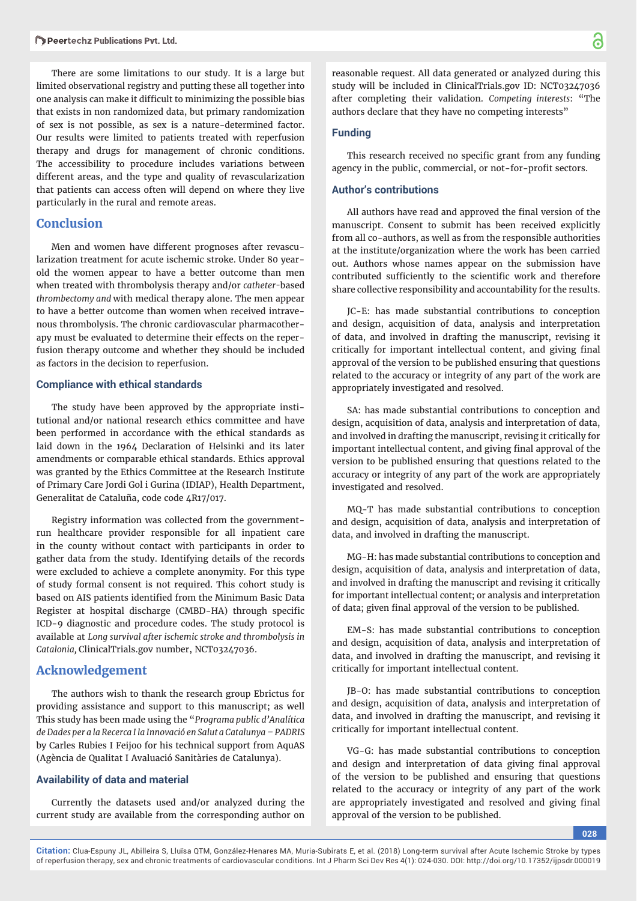There are some limitations to our study. It is a large but limited observational registry and putting these all together into one analysis can make it difficult to minimizing the possible bias that exists in non randomized data, but primary randomization of sex is not possible, as sex is a nature-determined factor. Our results were limited to patients treated with reperfusion therapy and drugs for management of chronic conditions. The accessibility to procedure includes variations between different areas, and the type and quality of revascularization that patients can access often will depend on where they live particularly in the rural and remote areas.

## **Conclusion**

Men and women have different prognoses after revascularization treatment for acute ischemic stroke. Under 80 yearold the women appear to have a better outcome than men when treated with thrombolysis therapy and/or *catheter-*based *thrombectomy and* with medical therapy alone. The men appear to have a better outcome than women when received intravenous thrombolysis. The chronic cardiovascular pharmacotherapy must be evaluated to determine their effects on the reperfusion therapy outcome and whether they should be included as factors in the decision to reperfusion.

#### **Compliance with ethical standards**

The study have been approved by the appropriate institutional and/or national research ethics committee and have been performed in accordance with the ethical standards as laid down in the 1964 Declaration of Helsinki and its later amendments or comparable ethical standards. Ethics approval was granted by the Ethics Committee at the Research Institute of Primary Care Jordi Gol i Gurina (IDIAP), Health Department, Generalitat de Cataluña, code code 4R17/017.

Registry information was collected from the governmentrun healthcare provider responsible for all inpatient care in the county without contact with participants in order to gather data from the study. Identifying details of the records were excluded to achieve a complete anonymity. For this type of study formal consent is not required. This cohort study is based on AIS patients identified from the Minimum Basic Data Register at hospital discharge (CMBD-HA) through specific ICD-9 diagnostic and procedure codes. The study protocol is available at *Long survival after ischemic stroke and thrombolysis in Catalonia,* ClinicalTrials.gov number, NCT03247036.

## **Acknowledgement**

The authors wish to thank the research group Ebrictus for providing assistance and support to this manuscript; as well This study has been made using the "*Programa public d'Analítica de Dades per a la Recerca I la Innovació en Salut a Catalunya – PADRIS* by Carles Rubies I Feijoo for his technical support from AquAS (Agència de Qualitat I Avaluació Sanitàries de Catalunya).

#### **Availability of data and material**

Currently the datasets used and/or analyzed during the current study are available from the corresponding author on

reasonable request. All data generated or analyzed during this study will be included in ClinicalTrials.gov ID: NCT03247036 after completing their validation. *Competing interests*: "The authors declare that they have no competing interests"

#### **Funding**

This research received no specific grant from any funding agency in the public, commercial, or not-for-profit sectors.

#### **Author's contributions**

All authors have read and approved the final version of the manuscript. Consent to submit has been received explicitly from all co-authors, as well as from the responsible authorities at the institute/organization where the work has been carried out. Authors whose names appear on the submission have contributed sufficiently to the scientific work and therefore share collective responsibility and accountability for the results.

JC-E: has made substantial contributions to conception and design, acquisition of data, analysis and interpretation of data, and involved in drafting the manuscript, revising it critically for important intellectual content, and giving final approval of the version to be published ensuring that questions related to the accuracy or integrity of any part of the work are appropriately investigated and resolved.

SA: has made substantial contributions to conception and design, acquisition of data, analysis and interpretation of data, and involved in drafting the manuscript, revising it critically for important intellectual content, and giving final approval of the version to be published ensuring that questions related to the accuracy or integrity of any part of the work are appropriately investigated and resolved.

MQ-T has made substantial contributions to conception and design, acquisition of data, analysis and interpretation of data, and involved in drafting the manuscript.

MG-H: has made substantial contributions to conception and design, acquisition of data, analysis and interpretation of data, and involved in drafting the manuscript and revising it critically for important intellectual content; or analysis and interpretation of data; given final approval of the version to be published.

EM-S: has made substantial contributions to conception and design, acquisition of data, analysis and interpretation of data, and involved in drafting the manuscript, and revising it critically for important intellectual content.

JB-O: has made substantial contributions to conception and design, acquisition of data, analysis and interpretation of data, and involved in drafting the manuscript, and revising it critically for important intellectual content.

VG-G: has made substantial contributions to conception and design and interpretation of data giving final approval of the version to be published and ensuring that questions related to the accuracy or integrity of any part of the work are appropriately investigated and resolved and giving final approval of the version to be published.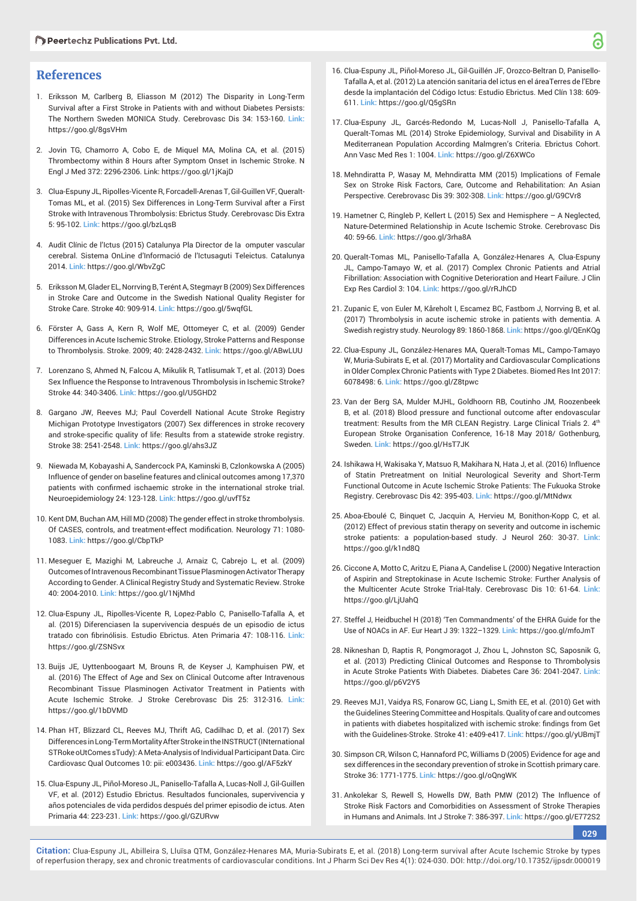## **References**

- 1. Eriksson M, Carlberg B, Eliasson M (2012) The Disparity in Long-Term Survival after a First Stroke in Patients with and without Diabetes Persists: The Northern Sweden MONICA Study. Cerebrovasc Dis 34: 153-160. **Link:** https://goo.gl/8gsVHm
- 2. Jovin TG, Chamorro A, Cobo E, de Miquel MA, Molina CA, et al. (2015) Thrombectomy within 8 Hours after Symptom Onset in Ischemic Stroke. N Engl J Med 372: 2296-2306. Link: https://goo.gl/1jKajD
- 3. Clua-Espuny JL, Ripolles-Vicente R, Forcadell-Arenas T, Gil-Guillen VF, Queralt-Tomas ML, et al. (2015) Sex Differences in Long-Term Survival after a First Stroke with Intravenous Thrombolysis: Ebrictus Study. Cerebrovasc Dis Extra 5: 95-102. **Link:** https://goo.gl/bzLqsB
- 4. Audit Clínic de l'Ictus (2015) Catalunya Pla Director de la omputer vascular cerebral. Sistema OnLine d'Informació de l'Ictusaguti Teleictus. Catalunya 2014. **Link:** https://goo.gl/WbvZgC
- 5. Eriksson M, Glader EL, Norrving B, Terént A, Stegmayr B (2009) Sex Differences in Stroke Care and Outcome in the Swedish National Quality Register for Stroke Care. Stroke 40: 909-914. **Link:** https://goo.gl/5wqfGL
- 6. Förster A, Gass A, Kern R, Wolf ME, Ottomeyer C, et al. (2009) Gender Differences in Acute Ischemic Stroke. Etiology, Stroke Patterns and Response to Thrombolysis. Stroke. 2009; 40: 2428-2432. **Link:** https://goo.gl/ABwLUU
- 7. Lorenzano S, Ahmed N, Falcou A, Mikulik R, Tatlisumak T, et al. (2013) Does Sex Influence the Response to Intravenous Thrombolysis in Ischemic Stroke? Stroke 44: 340-3406. **Link:** https://goo.gl/U5GHD2
- 8. Gargano JW, Reeves MJ; Paul Coverdell National Acute Stroke Registry Michigan Prototype Investigators (2007) Sex differences in stroke recovery and stroke-specific quality of life: Results from a statewide stroke registry. Stroke 38: 2541-2548. **Link:** https://goo.gl/ahs3JZ
- 9. Niewada M, Kobayashi A, Sandercock PA, Kaminski B, Czlonkowska A (2005) Influence of gender on baseline features and clinical outcomes among 17,370 patients with confirmed ischaemic stroke in the international stroke trial. Neuroepidemiology 24: 123-128. **Link:** https://goo.gl/uvfT5z
- 10. Kent DM, Buchan AM, Hill MD (2008) The gender effect in stroke thrombolysis. Of CASES, controls, and treatment-effect modification. Neurology 71: 1080-1083. **Link:** https://goo.gl/CbpTkP
- 11. Meseguer E, Mazighi M, Labreuche J, Arnaiz C, Cabrejo L, et al. (2009) Outcomes of Intravenous Recombinant Tissue Plasminogen Activator Therapy According to Gender. A Clinical Registry Study and Systematic Review. Stroke 40: 2004-2010. **Link:** https://goo.gl/1NjMhd
- 12. Clua-Espuny JL, Ripolles-Vicente R, Lopez-Pablo C, Panisello-Tafalla A, et al. (2015) Diferenciasen la supervivencia después de un episodio de ictus tratado con fibrinólisis. Estudio Ebrictus. Aten Primaria 47: 108-116. Link: https://goo.gl/ZSNSvx
- 13. Buijs JE, Uyttenboogaart M, Brouns R, de Keyser J, Kamphuisen PW, et al. (2016) The Effect of Age and Sex on Clinical Outcome after Intravenous Recombinant Tissue Plasminogen Activator Treatment in Patients with Acute Ischemic Stroke. J Stroke Cerebrovasc Dis 25: 312-316. **Link:** https://goo.gl/1bDVMD
- 14. Phan HT, Blizzard CL, Reeves MJ, Thrift AG, Cadilhac D, et al. (2017) Sex Differences in Long-Term Mortality After Stroke in the INSTRUCT (INternational STRoke oUtComes sTudy): A Meta-Analysis of Individual Participant Data. Circ Cardiovasc Qual Outcomes 10: pii: e003436. **Link:** https://goo.gl/AF5zkY
- 15. Clua-Espuny JL, Piñol-Moreso JL, Panisello-Tafalla A, Lucas-Noll J, Gil-Guillen VF, et al. (2012) Estudio Ebrictus. Resultados funcionales, supervivencia y años potenciales de vida perdidos después del primer episodio de ictus. Aten Primaria 44: 223-231. **Link:** https://goo.gl/GZURvw
- 16. Clua-Espuny JL, Piñol-Moreso JL, Gil-Guillén JF, Orozco-Beltran D, Panisello-Tafalla A, et al. (2012) La atención sanitaria del ictus en el áreaTerres de l'Ebre desde la implantación del Código Ictus: Estudio Ebrictus. Med Clín 138: 609- 611. **Link:** https://goo.gl/Q5gSRn
- 17. Clua-Espuny JL, Garcés-Redondo M, Lucas-Noll J, Panisello-Tafalla A, Queralt-Tomas ML (2014) Stroke Epidemiology, Survival and Disability in A Mediterranean Population According Malmgren's Criteria. Ebrictus Cohort. Ann Vasc Med Res 1: 1004. **Link:** https://goo.gl/Z6XWCo
- 18. Mehndiratta P, Wasay M, Mehndiratta MM (2015) Implications of Female Sex on Stroke Risk Factors, Care, Outcome and Rehabilitation: An Asian Perspective. Cerebrovasc Dis 39: 302-308. **Link:** https://goo.gl/G9CVr8
- 19. Hametner C, Ringleb P, Kellert L (2015) Sex and Hemisphere A Neglected, Nature-Determined Relationship in Acute Ischemic Stroke. Cerebrovasc Dis 40: 59-66. **Link:** https://goo.gl/3rha8A
- 20. Queralt-Tomas ML, Panisello-Tafalla A, González-Henares A, Clua-Espuny JL, Campo-Tamayo W, et al. (2017) Complex Chronic Patients and Atrial Fibrillation: Association with Cognitive Deterioration and Heart Failure. J Clin Exp Res Cardiol 3: 104. **Link:** https://goo.gl/rRJhCD
- 21. Zupanic E, von Euler M, Kåreholt I, Escamez BC, Fastbom J, Norrving B, et al. (2017) Thrombolysis in acute ischemic stroke in patients with dementia. A Swedish registry study. Neurology 89: 1860-1868. **Link:** https://goo.gl/QEnKQg
- 22. Clua-Espuny JL, González-Henares MA, Queralt-Tomas ML, Campo-Tamayo W, Muria-Subirats E, et al. (2017) Mortality and Cardiovascular Complications in Older Complex Chronic Patients with Type 2 Diabetes. Biomed Res Int 2017: 6078498: 6. **Link:** https://goo.gl/Z8tpwc
- 23. Van der Berg SA, Mulder MJHL, Goldhoorn RB, Coutinho JM, Roozenbeek B, et al. (2018) Blood pressure and functional outcome after endovascular treatment: Results from the MR CLEAN Registry. Large Clinical Trials 2. 4<sup>th</sup> European Stroke Organisation Conference, 16-18 May 2018/ Gothenburg, Sweden. **Link:** https://goo.gl/HsT7JK
- 24. Ishikawa H, Wakisaka Y, Matsuo R, Makihara N, Hata J, et al. (2016) Influence of Statin Pretreatment on Initial Neurological Severity and Short-Term Functional Outcome in Acute Ischemic Stroke Patients: The Fukuoka Stroke Registry. Cerebrovasc Dis 42: 395-403. **Link:** https://goo.gl/MtNdwx
- 25. Aboa-Eboulé C, Binquet C, Jacquin A, Hervieu M, Bonithon-Kopp C, et al. (2012) Effect of previous statin therapy on severity and outcome in ischemic stroke patients: a population-based study. J Neurol 260: 30-37. **Link:** https://goo.gl/k1nd8Q
- 26. Ciccone A, Motto C, Aritzu E, Piana A, Candelise L (2000) Negative Interaction of Aspirin and Streptokinase in Acute Ischemic Stroke: Further Analysis of the Multicenter Acute Stroke Trial-Italy. Cerebrovasc Dis 10: 61-64. **Link:** https://goo.gl/LjUahQ
- 27. Steffel J, Heidbuchel H (2018) 'Ten Commandments' of the EHRA Guide for the Use of NOACs in AF. Eur Heart J 39: 1322–1329. **Link:** https://goo.gl/mfoJmT
- 28. Nikneshan D, Raptis R, Pongmoragot J, Zhou L, Johnston SC, Saposnik G, et al. (2013) Predicting Clinical Outcomes and Response to Thrombolysis in Acute Stroke Patients With Diabetes. Diabetes Care 36: 2041-2047. **Link:** https://goo.gl/p6V2Y5
- 29. Reeves MJ1, Vaidya RS, Fonarow GC, Liang L, Smith EE, et al. (2010) Get with the Guidelines Steering Committee and Hospitals. Quality of care and outcomes in patients with diabetes hospitalized with ischemic stroke: findings from Get with the Guidelines-Stroke. Stroke 41: e409-e417. **Link:** https://goo.gl/yUBmjT
- 30. Simpson CR, Wilson C, Hannaford PC, Williams D (2005) Evidence for age and sex differences in the secondary prevention of stroke in Scottish primary care. Stroke 36: 1771-1775. **Link:** https://goo.gl/oQngWK
- 31. Ankolekar S, Rewell S, Howells DW, Bath PMW (2012) The Influence of Stroke Risk Factors and Comorbidities on Assessment of Stroke Therapies in Humans and Animals. Int J Stroke 7: 386-397. **Link:** https://goo.gl/E772S2

**029**